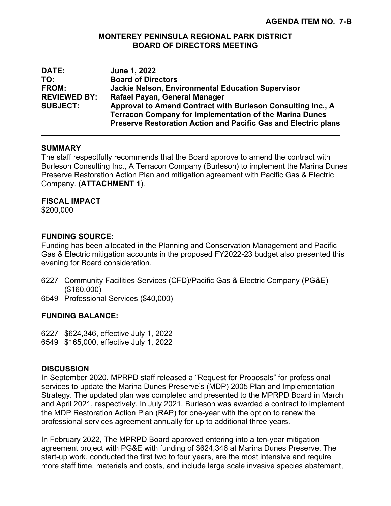#### **MONTEREY PENINSULA REGIONAL PARK DISTRICT BOARD OF DIRECTORS MEETING**

| DATE:               | June 1, 2022                                                                                                                                                                                           |
|---------------------|--------------------------------------------------------------------------------------------------------------------------------------------------------------------------------------------------------|
| TO:                 | <b>Board of Directors</b>                                                                                                                                                                              |
| <b>FROM:</b>        | <b>Jackie Nelson, Environmental Education Supervisor</b>                                                                                                                                               |
| <b>REVIEWED BY:</b> | Rafael Payan, General Manager                                                                                                                                                                          |
| <b>SUBJECT:</b>     | Approval to Amend Contract with Burleson Consulting Inc., A<br><b>Terracon Company for Implementation of the Marina Dunes</b><br><b>Preserve Restoration Action and Pacific Gas and Electric plans</b> |

#### **SUMMARY**

The staff respectfully recommends that the Board approve to amend the contract with Burleson Consulting Inc., A Terracon Company (Burleson) to implement the Marina Dunes Preserve Restoration Action Plan and mitigation agreement with Pacific Gas & Electric Company. (**ATTACHMENT 1**).

# **FISCAL IMPACT**

\$200,000

# **FUNDING SOURCE:**

Funding has been allocated in the Planning and Conservation Management and Pacific Gas & Electric mitigation accounts in the proposed FY2022-23 budget also presented this evening for Board consideration.

- 6227 Community Facilities Services (CFD)/Pacific Gas & Electric Company (PG&E) (\$160,000)
- 6549 Professional Services (\$40,000)

## **FUNDING BALANCE:**

- 6227 \$624,346, effective July 1, 2022
- 6549 \$165,000, effective July 1, 2022

## **DISCUSSION**

In September 2020, MPRPD staff released a "Request for Proposals" for professional services to update the Marina Dunes Preserve's (MDP) 2005 Plan and Implementation Strategy. The updated plan was completed and presented to the MPRPD Board in March and April 2021, respectively. In July 2021, Burleson was awarded a contract to implement the MDP Restoration Action Plan (RAP) for one-year with the option to renew the professional services agreement annually for up to additional three years.

In February 2022, The MPRPD Board approved entering into a ten-year mitigation agreement project with PG&E with funding of \$624,346 at Marina Dunes Preserve. The start-up work, conducted the first two to four years, are the most intensive and require more staff time, materials and costs, and include large scale invasive species abatement,